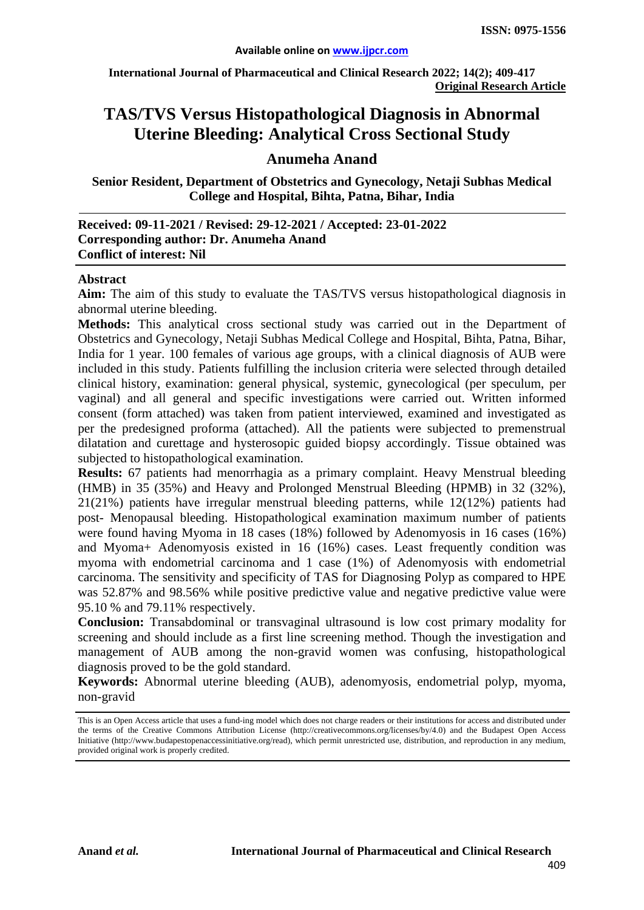**International Journal of Pharmaceutical and Clinical Research 2022; 14(2); 409-417 Original Research Article**

# **TAS/TVS Versus Histopathological Diagnosis in Abnormal Uterine Bleeding: Analytical Cross Sectional Study**

## **Anumeha Anand**

**Senior Resident, Department of Obstetrics and Gynecology, Netaji Subhas Medical College and Hospital, Bihta, Patna, Bihar, India**

| Received: 09-11-2021 / Revised: 29-12-2021 / Accepted: 23-01-2022 |
|-------------------------------------------------------------------|
| Corresponding author: Dr. Anumeha Anand                           |
| <b>Conflict of interest: Nil</b>                                  |

#### **Abstract**

**Aim:** The aim of this study to evaluate the TAS/TVS versus histopathological diagnosis in abnormal uterine bleeding.

**Methods:** This analytical cross sectional study was carried out in the Department of Obstetrics and Gynecology, Netaji Subhas Medical College and Hospital, Bihta, Patna, Bihar, India for 1 year. 100 females of various age groups, with a clinical diagnosis of AUB were included in this study. Patients fulfilling the inclusion criteria were selected through detailed clinical history, examination: general physical, systemic, gynecological (per speculum, per vaginal) and all general and specific investigations were carried out. Written informed consent (form attached) was taken from patient interviewed, examined and investigated as per the predesigned proforma (attached). All the patients were subjected to premenstrual dilatation and curettage and hysterosopic guided biopsy accordingly. Tissue obtained was subjected to histopathological examination.

**Results:** 67 patients had menorrhagia as a primary complaint. Heavy Menstrual bleeding (HMB) in 35 (35%) and Heavy and Prolonged Menstrual Bleeding (HPMB) in 32 (32%), 21(21%) patients have irregular menstrual bleeding patterns, while 12(12%) patients had post- Menopausal bleeding. Histopathological examination maximum number of patients were found having Myoma in 18 cases (18%) followed by Adenomyosis in 16 cases (16%) and Myoma+ Adenomyosis existed in 16 (16%) cases. Least frequently condition was myoma with endometrial carcinoma and 1 case (1%) of Adenomyosis with endometrial carcinoma. The sensitivity and specificity of TAS for Diagnosing Polyp as compared to HPE was 52.87% and 98.56% while positive predictive value and negative predictive value were 95.10 % and 79.11% respectively.

**Conclusion:** Transabdominal or transvaginal ultrasound is low cost primary modality for screening and should include as a first line screening method. Though the investigation and management of AUB among the non-gravid women was confusing, histopathological diagnosis proved to be the gold standard.

**Keywords:** Abnormal uterine bleeding (AUB), adenomyosis, endometrial polyp, myoma, non-gravid

This is an Open Access article that uses a fund-ing model which does not charge readers or their institutions for access and distributed under the terms of the Creative Commons Attribution License (http://creativecommons.org/licenses/by/4.0) and the Budapest Open Access Initiative (http://www.budapestopenaccessinitiative.org/read), which permit unrestricted use, distribution, and reproduction in any medium, provided original work is properly credited.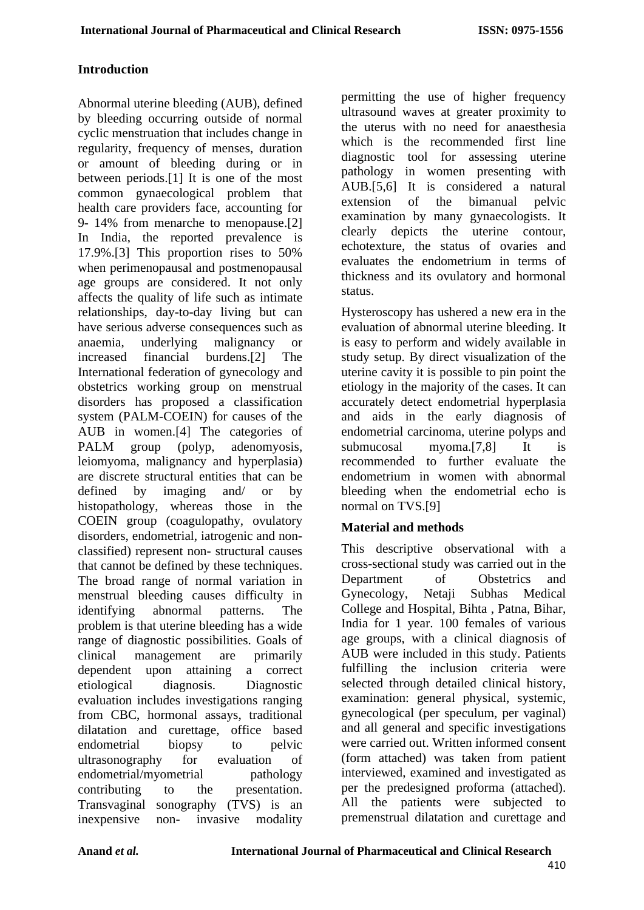## **Introduction**

Abnormal uterine bleeding (AUB), defined by bleeding occurring outside of normal cyclic menstruation that includes change in regularity, frequency of menses, duration or amount of bleeding during or in between periods.[1] It is one of the most common gynaecological problem that health care providers face, accounting for 9- 14% from menarche to menopause.[2] In India, the reported prevalence is 17.9%.[3] This proportion rises to 50% when perimenopausal and postmenopausal age groups are considered. It not only affects the quality of life such as intimate relationships, day-to-day living but can have serious adverse consequences such as anaemia, underlying malignancy or increased financial burdens.[2] The International federation of gynecology and obstetrics working group on menstrual disorders has proposed a classification system (PALM-COEIN) for causes of the AUB in women.[4] The categories of PALM group (polyp, adenomyosis, leiomyoma, malignancy and hyperplasia) are discrete structural entities that can be defined by imaging and/ or by histopathology, whereas those in the COEIN group (coagulopathy, ovulatory disorders, endometrial, iatrogenic and nonclassified) represent non- structural causes that cannot be defined by these techniques. The broad range of normal variation in menstrual bleeding causes difficulty in identifying abnormal patterns. The problem is that uterine bleeding has a wide range of diagnostic possibilities. Goals of clinical management are primarily dependent upon attaining a correct etiological diagnosis. Diagnostic evaluation includes investigations ranging from CBC, hormonal assays, traditional dilatation and curettage, office based endometrial biopsy to pelvic ultrasonography for evaluation of endometrial/myometrial pathology contributing to the presentation. Transvaginal sonography (TVS) is an inexpensive non- invasive modality

permitting the use of higher frequency ultrasound waves at greater proximity to the uterus with no need for anaesthesia which is the recommended first line diagnostic tool for assessing uterine pathology in women presenting with AUB.[5,6] It is considered a natural extension of the bimanual pelvic examination by many gynaecologists. It clearly depicts the uterine contour, echotexture, the status of ovaries and evaluates the endometrium in terms of thickness and its ovulatory and hormonal status.

Hysteroscopy has ushered a new era in the evaluation of abnormal uterine bleeding. It is easy to perform and widely available in study setup. By direct visualization of the uterine cavity it is possible to pin point the etiology in the majority of the cases. It can accurately detect endometrial hyperplasia and aids in the early diagnosis of endometrial carcinoma, uterine polyps and submucosal myoma.[7,8] It is recommended to further evaluate the endometrium in women with abnormal bleeding when the endometrial echo is normal on TVS.[9]

## **Material and methods**

This descriptive observational with a cross-sectional study was carried out in the Department of Obstetrics and Gynecology, Netaji Subhas Medical College and Hospital, Bihta , Patna, Bihar, India for 1 year. 100 females of various age groups, with a clinical diagnosis of AUB were included in this study. Patients fulfilling the inclusion criteria were selected through detailed clinical history, examination: general physical, systemic, gynecological (per speculum, per vaginal) and all general and specific investigations were carried out. Written informed consent (form attached) was taken from patient interviewed, examined and investigated as per the predesigned proforma (attached). All the patients were subjected to premenstrual dilatation and curettage and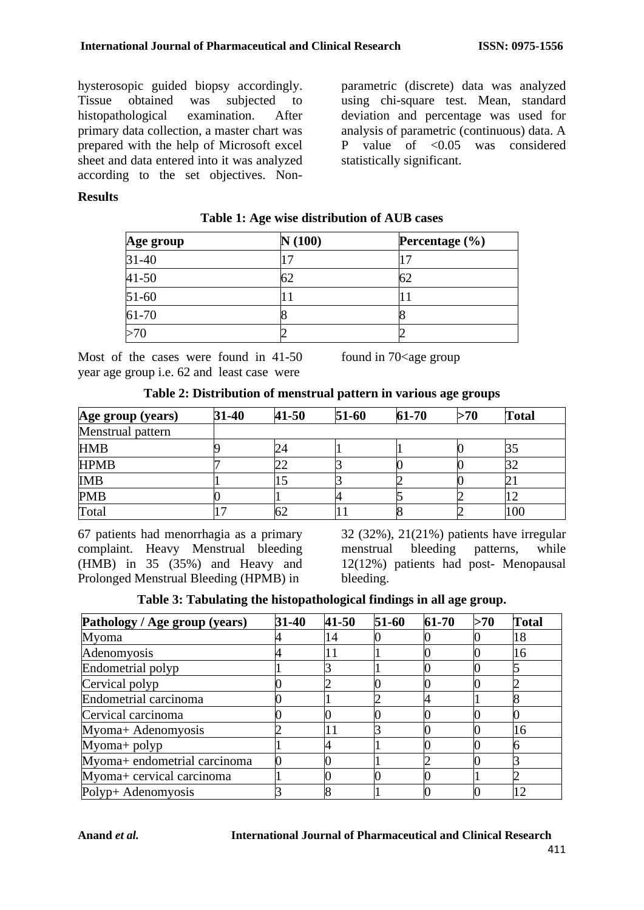hysterosopic guided biopsy accordingly. Tissue obtained was subjected to<br>histopathological examination. After histopathological examination. After primary data collection, a master chart was prepared with the help of Microsoft excel sheet and data entered into it was analyzed according to the set objectives. Non-

parametric (discrete) data was analyzed using chi-square test. Mean, standard deviation and percentage was used for analysis of parametric (continuous) data. A P value of <0.05 was considered statistically significant.

### **Results**

| Age group | N(100) | Percentage (%) |
|-----------|--------|----------------|
| $31 - 40$ |        |                |
| $41 - 50$ |        |                |
| $51-60$   |        |                |
| 61-70     |        |                |
| >70       |        |                |

### **Table 1: Age wise distribution of AUB cases**

Most of the cases were found in 41-50 year age group i.e. 62 and least case were

found in  $70$  <age group

| Age group (years) | 31-40 | $41 - 50$ | $51-60$ | $61 - 70$ | >70 | <b>Total</b> |
|-------------------|-------|-----------|---------|-----------|-----|--------------|
| Menstrual pattern |       |           |         |           |     |              |
| <b>HMB</b>        |       | 24        |         |           |     |              |
| <b>HPMB</b>       |       | ∠∠        |         |           |     | 32           |
| <b>IMB</b>        |       |           |         |           |     | 21           |
| <b>PMB</b>        |       |           |         |           |     |              |
| Total             |       | ЮZ        |         |           |     | 100          |

67 patients had menorrhagia as a primary complaint. Heavy Menstrual bleeding (HMB) in 35 (35%) and Heavy and Prolonged Menstrual Bleeding (HPMB) in

32 (32%), 21(21%) patients have irregular menstrual bleeding patterns, while 12(12%) patients had post- Menopausal bleeding.

| Table 3: Tabulating the histopathological findings in all age group. |  |  |  |  |
|----------------------------------------------------------------------|--|--|--|--|
|----------------------------------------------------------------------|--|--|--|--|

| Pathology / Age group (years) | 31-40 | $41 - 50$ | $51-60$ | $61-70$ | >70 | <b>Total</b> |
|-------------------------------|-------|-----------|---------|---------|-----|--------------|
| Myoma                         |       | 14        |         |         |     | 18           |
| Adenomyosis                   |       |           |         |         |     | 16           |
| Endometrial polyp             |       |           |         |         |     |              |
| Cervical polyp                |       |           |         |         |     |              |
| Endometrial carcinoma         |       |           |         |         |     |              |
| Cervical carcinoma            |       |           |         |         |     |              |
| Myoma+ Adenomyosis            |       | H         |         |         |     | 16           |
| $M$ yoma+ polyp               |       |           |         |         |     |              |
| Myoma+ endometrial carcinoma  |       |           |         |         |     |              |
| Myoma+ cervical carcinoma     |       |           |         |         |     |              |
| Polyp+ Adenomyosis            |       |           |         |         |     | 12           |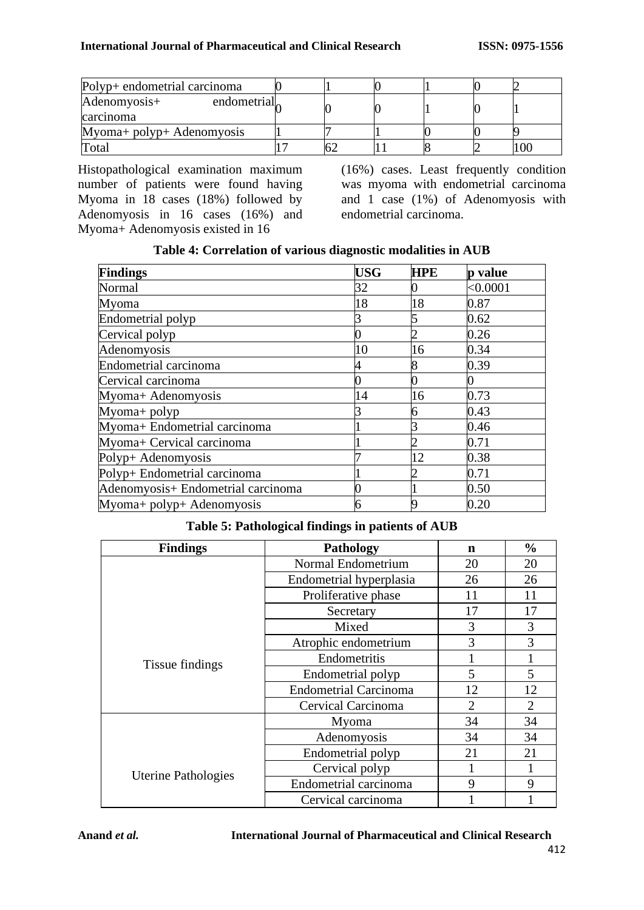| Polyp+ endometrial carcinoma             |  |  |  |
|------------------------------------------|--|--|--|
| endometrial<br>Adenomyosis+<br>carcinoma |  |  |  |
| Myoma+ polyp+ Adenomyosis                |  |  |  |
| Total                                    |  |  |  |

Histopathological examination maximum number of patients were found having Myoma in 18 cases (18%) followed by Adenomyosis in 16 cases (16%) and Myoma+ Adenomyosis existed in 16

(16%) cases. Least frequently condition was myoma with endometrial carcinoma and 1 case (1%) of Adenomyosis with endometrial carcinoma.

| <b>Findings</b>                    | <b>USG</b> | <b>HPE</b> | p value  |
|------------------------------------|------------|------------|----------|
| Normal                             | 32         |            | < 0.0001 |
| Myoma                              | 18         | 18         | 0.87     |
| Endometrial polyp                  |            |            | 0.62     |
| Cervical polyp                     |            |            | 0.26     |
| Adenomyosis                        | 10         | 16         | 0.34     |
| Endometrial carcinoma              |            |            | 0.39     |
| Cervical carcinoma                 |            |            |          |
| Myoma+ Adenomyosis                 | 14         | 16         | 0.73     |
| $Myoma+polyp$                      |            |            | 0.43     |
| Myoma+ Endometrial carcinoma       |            |            | 0.46     |
| Myoma+ Cervical carcinoma          |            |            | 0.71     |
| Polyp+ Adenomyosis                 |            | 12         | 0.38     |
| Polyp+ Endometrial carcinoma       |            |            | 0.71     |
| Adenomyosis+ Endometrial carcinoma |            |            | 0.50     |
| Myoma+ polyp+ Adenomyosis          |            |            | 0.20     |

## **Table 4: Correlation of various diagnostic modalities in AUB**

## **Table 5: Pathological findings in patients of AUB**

| <b>Findings</b>            | <b>Pathology</b>             | $\mathbf n$ | $\frac{0}{0}$ |
|----------------------------|------------------------------|-------------|---------------|
|                            | Normal Endometrium           | 20          | 20            |
|                            | Endometrial hyperplasia      | 26          | 26            |
|                            | Proliferative phase          | 11          | 11            |
|                            | Secretary                    | 17          | 17            |
|                            | Mixed                        | 3           | 3             |
|                            | Atrophic endometrium         | 3           | 3             |
| Tissue findings            | Endometritis                 |             |               |
|                            | Endometrial polyp            | 5           | 5             |
|                            | <b>Endometrial Carcinoma</b> | 12          | 12            |
|                            | Cervical Carcinoma           | 2           | 2             |
|                            | Myoma                        | 34          | 34            |
|                            | Adenomyosis                  | 34          | 34            |
|                            | Endometrial polyp            | 21          | 21            |
|                            | Cervical polyp               |             |               |
| <b>Uterine Pathologies</b> | Endometrial carcinoma        | 9           | 9             |
|                            | Cervical carcinoma           |             |               |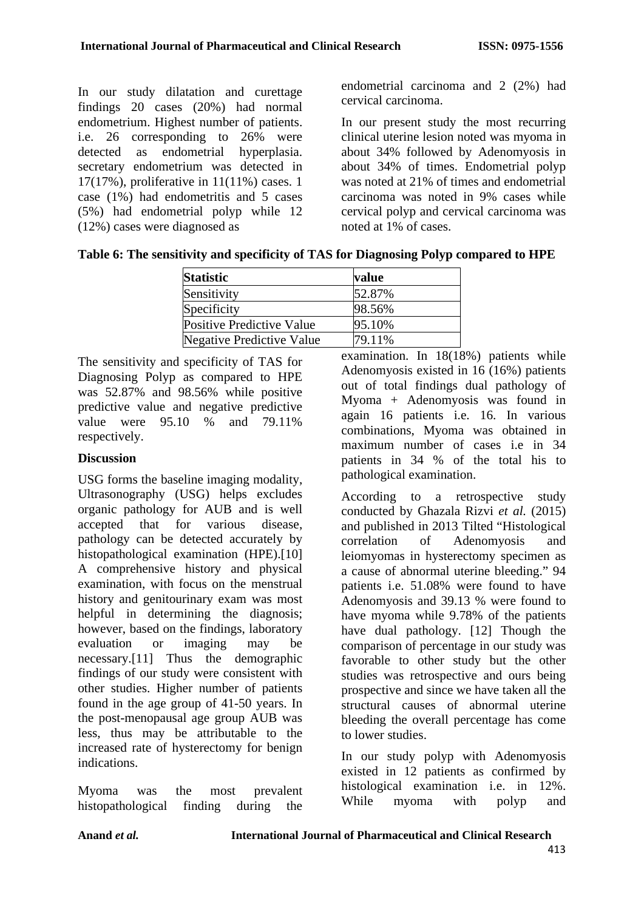In our study dilatation and curettage findings 20 cases (20%) had normal endometrium. Highest number of patients. i.e. 26 corresponding to 26% were detected as endometrial hyperplasia. secretary endometrium was detected in 17(17%), proliferative in 11(11%) cases. 1 case (1%) had endometritis and 5 cases (5%) had endometrial polyp while 12 (12%) cases were diagnosed as

endometrial carcinoma and 2 (2%) had cervical carcinoma.

In our present study the most recurring clinical uterine lesion noted was myoma in about 34% followed by Adenomyosis in about 34% of times. Endometrial polyp was noted at 21% of times and endometrial carcinoma was noted in 9% cases while cervical polyp and cervical carcinoma was noted at 1% of cases.

|  |  | Table 6: The sensitivity and specificity of TAS for Diagnosing Polyp compared to HPE |  |
|--|--|--------------------------------------------------------------------------------------|--|
|  |  |                                                                                      |  |

| value  |  |
|--------|--|
| 52.87% |  |
| 98.56% |  |
| 95.10% |  |
| 79.11% |  |
|        |  |

The sensitivity and specificity of TAS for Diagnosing Polyp as compared to HPE was 52.87% and 98.56% while positive predictive value and negative predictive value were 95.10 % and 79.11% respectively.

## **Discussion**

USG forms the baseline imaging modality, Ultrasonography (USG) helps excludes organic pathology for AUB and is well accepted that for various disease, pathology can be detected accurately by histopathological examination (HPE).[10] A comprehensive history and physical examination, with focus on the menstrual history and genitourinary exam was most helpful in determining the diagnosis; however, based on the findings, laboratory evaluation or imaging may be necessary.[11] Thus the demographic findings of our study were consistent with other studies. Higher number of patients found in the age group of 41-50 years. In the post-menopausal age group AUB was less, thus may be attributable to the increased rate of hysterectomy for benign indications.

Myoma was the most prevalent histopathological finding during the examination. In 18(18%) patients while Adenomyosis existed in 16 (16%) patients out of total findings dual pathology of Myoma + Adenomyosis was found in again 16 patients i.e. 16. In various combinations, Myoma was obtained in maximum number of cases i.e in 34 patients in 34 % of the total his to pathological examination.

According to a retrospective study conducted by Ghazala Rizvi *et al.* (2015) and published in 2013 Tilted "Histological correlation of Adenomyosis and leiomyomas in hysterectomy specimen as a cause of abnormal uterine bleeding." 94 patients i.e. 51.08% were found to have Adenomyosis and 39.13 % were found to have myoma while 9.78% of the patients have dual pathology. [12] Though the comparison of percentage in our study was favorable to other study but the other studies was retrospective and ours being prospective and since we have taken all the structural causes of abnormal uterine bleeding the overall percentage has come to lower studies.

In our study polyp with Adenomyosis existed in 12 patients as confirmed by histological examination i.e. in 12%. While myoma with polyp and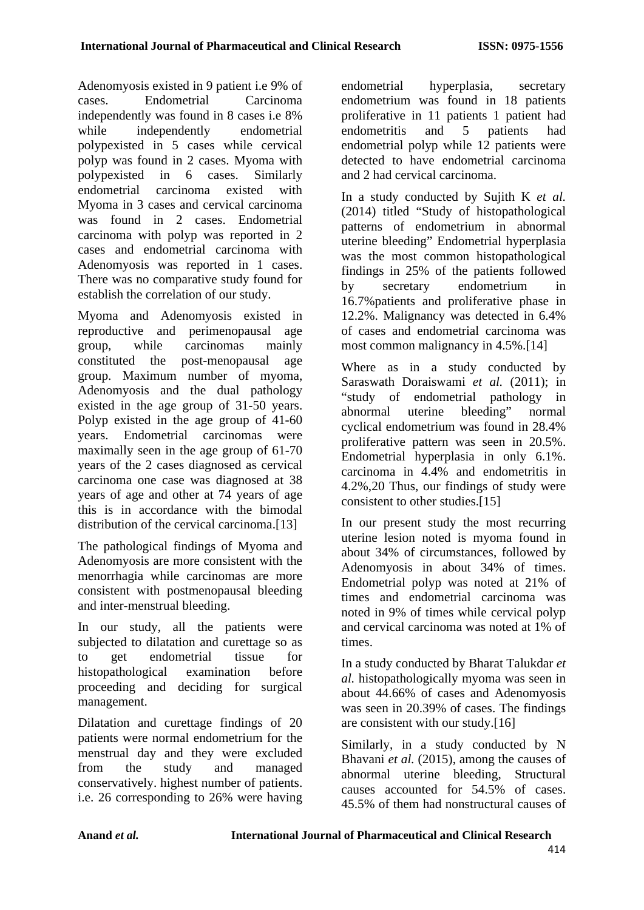Adenomyosis existed in 9 patient i.e 9% of cases. Endometrial Carcinoma independently was found in 8 cases i.e 8% while independently endometrial polypexisted in 5 cases while cervical polyp was found in 2 cases. Myoma with polypexisted in 6 cases. Similarly endometrial carcinoma existed with Myoma in 3 cases and cervical carcinoma was found in 2 cases. Endometrial carcinoma with polyp was reported in 2 cases and endometrial carcinoma with Adenomyosis was reported in 1 cases. There was no comparative study found for establish the correlation of our study.

Myoma and Adenomyosis existed in reproductive and perimenopausal age group, while carcinomas mainly constituted the post-menopausal age group. Maximum number of myoma, Adenomyosis and the dual pathology existed in the age group of 31-50 years. Polyp existed in the age group of 41-60 years. Endometrial carcinomas were maximally seen in the age group of 61-70 years of the 2 cases diagnosed as cervical carcinoma one case was diagnosed at 38 years of age and other at 74 years of age this is in accordance with the bimodal distribution of the cervical carcinoma.<sup>[13]</sup>

The pathological findings of Myoma and Adenomyosis are more consistent with the menorrhagia while carcinomas are more consistent with postmenopausal bleeding and inter-menstrual bleeding.

In our study, all the patients were subjected to dilatation and curettage so as to get endometrial tissue for histopathological examination before proceeding and deciding for surgical management.

Dilatation and curettage findings of 20 patients were normal endometrium for the menstrual day and they were excluded from the study and managed conservatively. highest number of patients. i.e. 26 corresponding to 26% were having endometrial hyperplasia, secretary endometrium was found in 18 patients proliferative in 11 patients 1 patient had endometritis and 5 patients had endometrial polyp while 12 patients were detected to have endometrial carcinoma and 2 had cervical carcinoma.

In a study conducted by Sujith K *et al.*  (2014) titled "Study of histopathological patterns of endometrium in abnormal uterine bleeding" Endometrial hyperplasia was the most common histopathological findings in 25% of the patients followed by secretary endometrium in 16.7%patients and proliferative phase in 12.2%. Malignancy was detected in 6.4% of cases and endometrial carcinoma was most common malignancy in 4.5%.[14]

Where as in a study conducted by Saraswath Doraiswami *et al.* (2011); in "study of endometrial pathology in abnormal uterine bleeding" normal cyclical endometrium was found in 28.4% proliferative pattern was seen in 20.5%. Endometrial hyperplasia in only 6.1%. carcinoma in 4.4% and endometritis in 4.2%,20 Thus, our findings of study were consistent to other studies.[15]

In our present study the most recurring uterine lesion noted is myoma found in about 34% of circumstances, followed by Adenomyosis in about 34% of times. Endometrial polyp was noted at 21% of times and endometrial carcinoma was noted in 9% of times while cervical polyp and cervical carcinoma was noted at 1% of times.

In a study conducted by Bharat Talukdar *et al.* histopathologically myoma was seen in about 44.66% of cases and Adenomyosis was seen in 20.39% of cases. The findings are consistent with our study.[16]

Similarly, in a study conducted by N Bhavani *et al.* (2015), among the causes of abnormal uterine bleeding, Structural causes accounted for 54.5% of cases. 45.5% of them had nonstructural causes of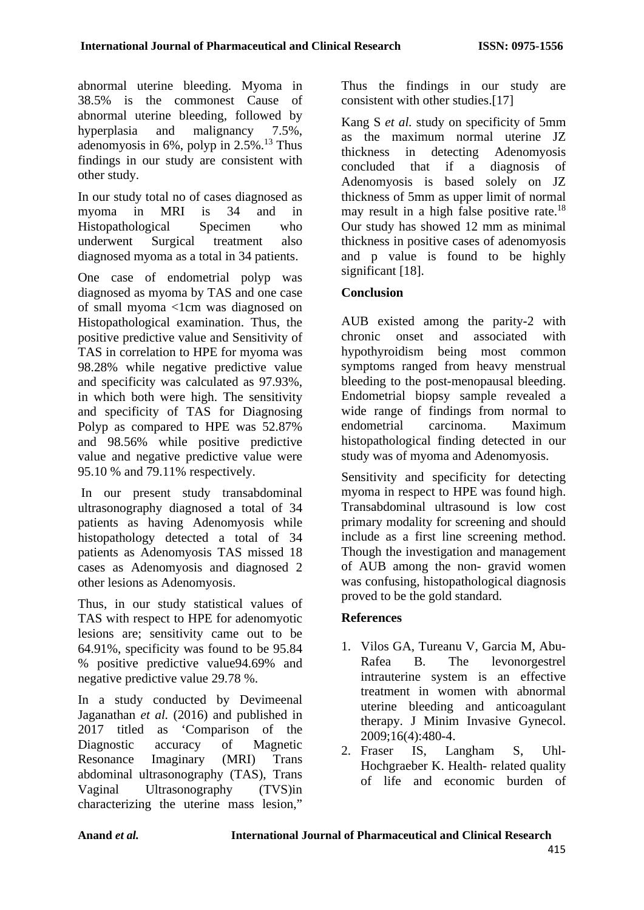abnormal uterine bleeding. Myoma in 38.5% is the commonest Cause of abnormal uterine bleeding, followed by hyperplasia and malignancy 7.5%, adenomyosis in  $6\%$ , polyp in  $2.5\%$ .<sup>13</sup> Thus findings in our study are consistent with other study.

In our study total no of cases diagnosed as myoma in MRI is 34 and in Histopathological Specimen who underwent Surgical treatment also diagnosed myoma as a total in 34 patients.

One case of endometrial polyp was diagnosed as myoma by TAS and one case of small myoma <1cm was diagnosed on Histopathological examination. Thus, the positive predictive value and Sensitivity of TAS in correlation to HPE for myoma was 98.28% while negative predictive value and specificity was calculated as 97.93%, in which both were high. The sensitivity and specificity of TAS for Diagnosing Polyp as compared to HPE was 52.87% and 98.56% while positive predictive value and negative predictive value were 95.10 % and 79.11% respectively.

In our present study transabdominal ultrasonography diagnosed a total of 34 patients as having Adenomyosis while histopathology detected a total of 34 patients as Adenomyosis TAS missed 18 cases as Adenomyosis and diagnosed 2 other lesions as Adenomyosis.

Thus, in our study statistical values of TAS with respect to HPE for adenomyotic lesions are; sensitivity came out to be 64.91%, specificity was found to be 95.84 % positive predictive value94.69% and negative predictive value 29.78 %.

In a study conducted by Devimeenal Jaganathan *et al.* (2016) and published in 2017 titled as 'Comparison of the Diagnostic accuracy of Magnetic Resonance Imaginary (MRI) Trans abdominal ultrasonography (TAS), Trans Vaginal Ultrasonography (TVS)in characterizing the uterine mass lesion,"

Thus the findings in our study are consistent with other studies.[17]

Kang S *et al.* study on specificity of 5mm as the maximum normal uterine JZ thickness in detecting Adenomyosis concluded that if a diagnosis of Adenomyosis is based solely on JZ thickness of 5mm as upper limit of normal may result in a high false positive rate.<sup>18</sup> Our study has showed 12 mm as minimal thickness in positive cases of adenomyosis and p value is found to be highly significant [18].

## **Conclusion**

AUB existed among the parity-2 with chronic onset and associated with hypothyroidism being most common symptoms ranged from heavy menstrual bleeding to the post-menopausal bleeding. Endometrial biopsy sample revealed a wide range of findings from normal to endometrial carcinoma. Maximum histopathological finding detected in our study was of myoma and Adenomyosis.

Sensitivity and specificity for detecting myoma in respect to HPE was found high. Transabdominal ultrasound is low cost primary modality for screening and should include as a first line screening method. Though the investigation and management of AUB among the non- gravid women was confusing, histopathological diagnosis proved to be the gold standard.

## **References**

- 1. Vilos GA, Tureanu V, Garcia M, Abu-Rafea B. The levonorgestrel intrauterine system is an effective treatment in women with abnormal uterine bleeding and anticoagulant therapy. J Minim Invasive Gynecol. 2009;16(4):480-4.
- 2. Fraser IS, Langham S, Uhl-Hochgraeber K. Health- related quality of life and economic burden of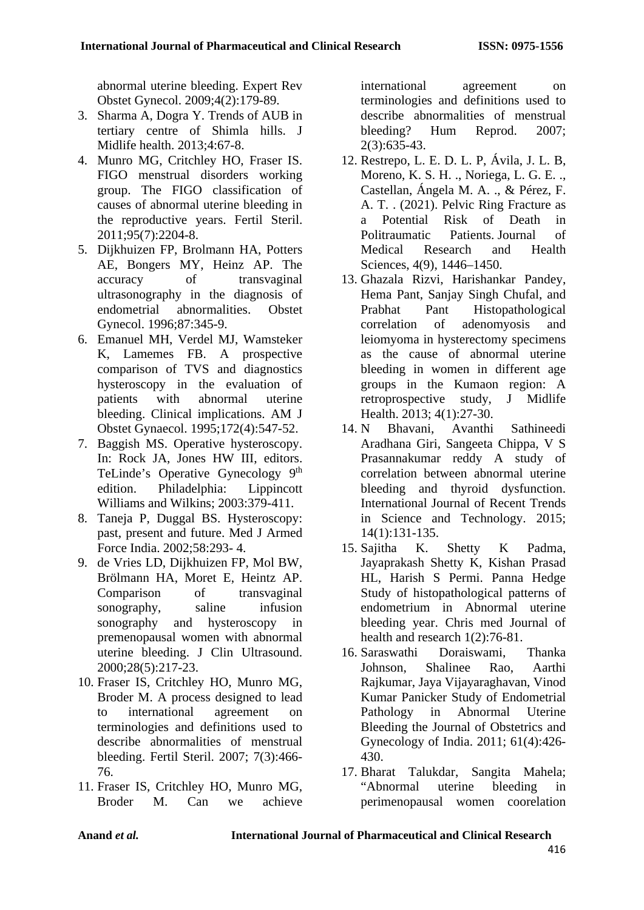abnormal uterine bleeding. Expert Rev Obstet Gynecol. 2009;4(2):179-89.

- 3. Sharma A, Dogra Y. Trends of AUB in tertiary centre of Shimla hills. J Midlife health. 2013;4:67-8.
- 4. Munro MG, Critchley HO, Fraser IS. FIGO menstrual disorders working group. The FIGO classification of causes of abnormal uterine bleeding in the reproductive years. Fertil Steril. 2011;95(7):2204-8.
- 5. Dijkhuizen FP, Brolmann HA, Potters AE, Bongers MY, Heinz AP. The accuracy of transvaginal ultrasonography in the diagnosis of endometrial abnormalities. Obstet Gynecol. 1996;87:345-9.
- 6. Emanuel MH, Verdel MJ, Wamsteker K, Lamemes FB. A prospective comparison of TVS and diagnostics hysteroscopy in the evaluation of patients with abnormal uterine bleeding. Clinical implications. AM J Obstet Gynaecol. 1995;172(4):547-52.
- 7. Baggish MS. Operative hysteroscopy. In: Rock JA, Jones HW III, editors. TeLinde's Operative Gynecology 9<sup>th</sup> edition. Philadelphia: Lippincott Williams and Wilkins: 2003:379-411.
- 8. Taneja P, Duggal BS. Hysteroscopy: past, present and future. Med J Armed Force India. 2002;58:293- 4.
- 9. de Vries LD, Dijkhuizen FP, Mol BW, Brölmann HA, Moret E, Heintz AP. Comparison of transvaginal sonography, saline infusion sonography and hysteroscopy in premenopausal women with abnormal uterine bleeding. J Clin Ultrasound. 2000;28(5):217-23.
- 10. Fraser IS, Critchley HO, Munro MG, Broder M. A process designed to lead to international agreement on terminologies and definitions used to describe abnormalities of menstrual bleeding. Fertil Steril. 2007; 7(3):466- 76.
- 11. Fraser IS, Critchley HO, Munro MG, Broder M. Can we achieve

international agreement on terminologies and definitions used to describe abnormalities of menstrual bleeding? Hum Reprod. 2007; 2(3):635-43.

- 12. Restrepo, L. E. D. L. P, Ávila, J. L. B, Moreno, K. S. H. ., Noriega, L. G. E. ., Castellan, Ángela M. A. ., & Pérez, F. A. T. . (2021). Pelvic Ring Fracture as a Potential Risk of Death in Politraumatic Patients. Journal of Medical Research and Health Sciences, 4(9), 1446–1450.
- 13. Ghazala Rizvi, Harishankar Pandey, Hema Pant, Sanjay Singh Chufal, and Prabhat Pant Histopathological correlation of adenomyosis and leiomyoma in hysterectomy specimens as the cause of abnormal uterine bleeding in women in different age groups in the Kumaon region: A retroprospective study, J Midlife Health. 2013; 4(1):27-30.
- 14. N Bhavani, Avanthi Sathineedi Aradhana Giri, Sangeeta Chippa, V S Prasannakumar reddy A study of correlation between abnormal uterine bleeding and thyroid dysfunction. International Journal of Recent Trends in Science and Technology. 2015; 14(1):131-135.
- 15. Sajitha K. Shetty K Padma, Jayaprakash Shetty K, Kishan Prasad HL, Harish S Permi. Panna Hedge Study of histopathological patterns of endometrium in Abnormal uterine bleeding year. Chris med Journal of health and research 1(2):76-81.
- 16. Saraswathi Doraiswami, Thanka Johnson, Shalinee Rao, Aarthi Rajkumar, Jaya Vijayaraghavan, Vinod Kumar Panicker Study of Endometrial Pathology in Abnormal Uterine Bleeding the Journal of Obstetrics and Gynecology of India. 2011; 61(4):426- 430.
- 17. Bharat Talukdar, Sangita Mahela; "Abnormal uterine bleeding in perimenopausal women coorelation